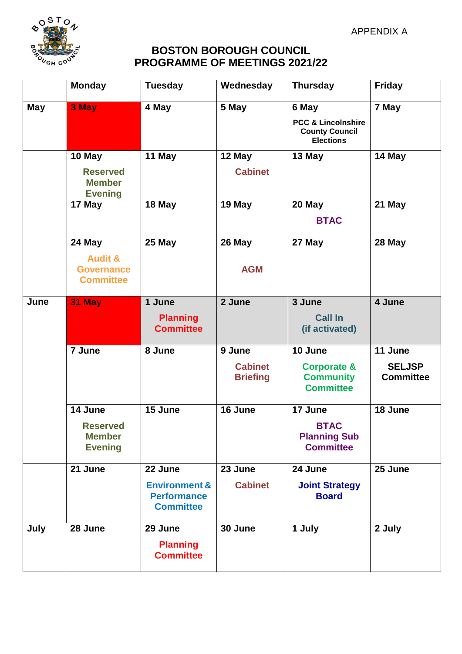APPENDIX A



## **BOSTON BOROUGH COUNCIL PROGRAMME OF MEETINGS 2021/22**

|            | <b>Monday</b>                                                         | <b>Tuesday</b>                                                                | Wednesday                                   | <b>Thursday</b>                                                                     | <b>Friday</b>                                |
|------------|-----------------------------------------------------------------------|-------------------------------------------------------------------------------|---------------------------------------------|-------------------------------------------------------------------------------------|----------------------------------------------|
| <b>May</b> | 3 May                                                                 | 4 May                                                                         | 5 May                                       | 6 May<br><b>PCC &amp; Lincolnshire</b><br><b>County Council</b><br><b>Elections</b> | 7 May                                        |
|            | 10 May<br><b>Reserved</b><br><b>Member</b><br><b>Evening</b>          | 11 May                                                                        | 12 May<br><b>Cabinet</b>                    | 13 May                                                                              | 14 May                                       |
|            | 17 May                                                                | 18 May                                                                        | 19 May                                      | 20 May<br><b>BTAC</b>                                                               | 21 May                                       |
|            | 24 May<br><b>Audit &amp;</b><br><b>Governance</b><br><b>Committee</b> | 25 May                                                                        | 26 May<br><b>AGM</b>                        | 27 May                                                                              | 28 May                                       |
| June       | 31 May                                                                | 1 June<br><b>Planning</b><br><b>Committee</b>                                 | 2 June                                      | 3 June<br><b>Call In</b><br>(if activated)                                          | 4 June                                       |
|            | 7 June                                                                | 8 June                                                                        | 9 June<br><b>Cabinet</b><br><b>Briefing</b> | 10 June<br><b>Corporate &amp;</b><br><b>Community</b><br><b>Committee</b>           | 11 June<br><b>SELJSP</b><br><b>Committee</b> |
|            | 14 June<br><b>Reserved</b><br><b>Member</b><br><b>Evening</b>         | 15 June                                                                       | 16 June                                     | 17 June<br><b>BTAC</b><br><b>Planning Sub</b><br><b>Committee</b>                   | 18 June                                      |
|            | 21 June                                                               | 22 June<br><b>Environment &amp;</b><br><b>Performance</b><br><b>Committee</b> | 23 June<br><b>Cabinet</b>                   | 24 June<br><b>Joint Strategy</b><br><b>Board</b>                                    | 25 June                                      |
| July       | 28 June                                                               | 29 June<br><b>Planning</b><br><b>Committee</b>                                | 30 June                                     | 1 July                                                                              | 2 July                                       |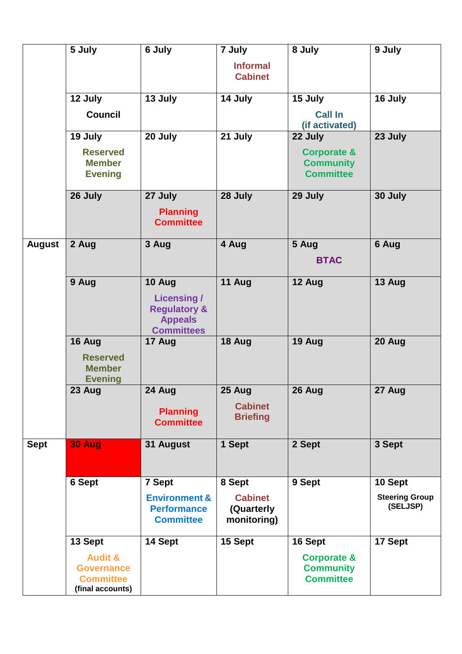|               | 5 July                                                                          | 6 July                                                                                        | 7 July                                      | 8 July                                                         | 9 July                            |
|---------------|---------------------------------------------------------------------------------|-----------------------------------------------------------------------------------------------|---------------------------------------------|----------------------------------------------------------------|-----------------------------------|
|               |                                                                                 |                                                                                               | <b>Informal</b><br><b>Cabinet</b>           |                                                                |                                   |
|               | 12 July                                                                         | 13 July                                                                                       | 14 July                                     | 15 July                                                        | 16 July                           |
|               | <b>Council</b>                                                                  |                                                                                               |                                             | <b>Call In</b><br>(if activated)                               |                                   |
|               | 19 July                                                                         | 20 July                                                                                       | 21 July                                     | 22 July                                                        | 23 July                           |
|               | <b>Reserved</b><br><b>Member</b><br><b>Evening</b>                              |                                                                                               |                                             | <b>Corporate &amp;</b><br><b>Community</b><br><b>Committee</b> |                                   |
|               | 26 July                                                                         | 27 July<br><b>Planning</b><br><b>Committee</b>                                                | 28 July                                     | 29 July                                                        | 30 July                           |
| <b>August</b> | 2 Aug                                                                           | 3 Aug                                                                                         | 4 Aug                                       | 5 Aug                                                          | 6 Aug                             |
|               |                                                                                 |                                                                                               |                                             | <b>BTAC</b>                                                    |                                   |
|               | 9 Aug                                                                           | 10 Aug<br><b>Licensing/</b><br><b>Regulatory &amp;</b><br><b>Appeals</b><br><b>Committees</b> | 11 Aug                                      | 12 Aug                                                         | 13 Aug                            |
|               | 16 Aug<br><b>Reserved</b><br><b>Member</b><br><b>Evening</b>                    | 17 Aug                                                                                        | 18 Aug                                      | 19 Aug                                                         | 20 Aug                            |
|               | 23 Aug                                                                          | 24 Aug<br><b>Planning</b><br><b>Committee</b>                                                 | 25 Aug<br><b>Cabinet</b><br><b>Briefing</b> | 26 Aug                                                         | 27 Aug                            |
| <b>Sept</b>   | <b>30 Aug</b>                                                                   | 31 August                                                                                     | 1 Sept                                      | 2 Sept                                                         | 3 Sept                            |
|               | <b>6 Sept</b>                                                                   | 7 Sept                                                                                        | 8 Sept                                      | 9 Sept                                                         | 10 Sept                           |
|               |                                                                                 | <b>Environment &amp;</b><br><b>Performance</b><br><b>Committee</b>                            | <b>Cabinet</b><br>(Quarterly<br>monitoring) |                                                                | <b>Steering Group</b><br>(SELJSP) |
|               | 13 Sept                                                                         | 14 Sept                                                                                       | 15 Sept                                     | 16 Sept                                                        | 17 Sept                           |
|               | <b>Audit &amp;</b><br><b>Governance</b><br><b>Committee</b><br>(final accounts) |                                                                                               |                                             | <b>Corporate &amp;</b><br><b>Community</b><br><b>Committee</b> |                                   |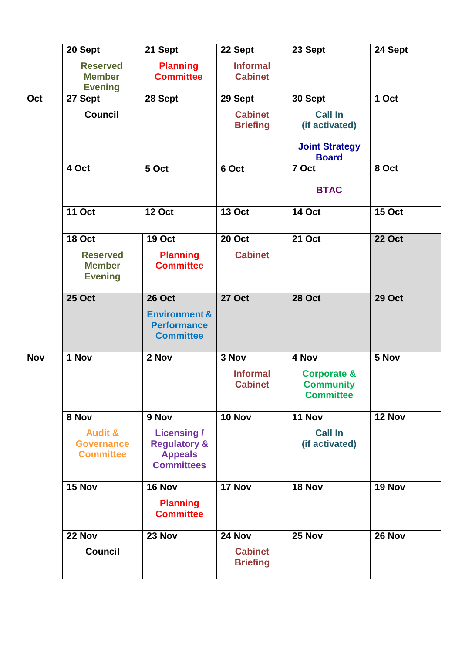|            | 20 Sept                                                     | 21 Sept                                                                              | 22 Sept                           | 23 Sept                                                        | 24 Sept       |
|------------|-------------------------------------------------------------|--------------------------------------------------------------------------------------|-----------------------------------|----------------------------------------------------------------|---------------|
|            | <b>Reserved</b><br><b>Member</b><br><b>Evening</b>          | <b>Planning</b><br><b>Committee</b>                                                  | <b>Informal</b><br><b>Cabinet</b> |                                                                |               |
| Oct        | 27 Sept                                                     | 28 Sept                                                                              | 29 Sept                           | 30 Sept                                                        | 1 Oct         |
|            | <b>Council</b>                                              |                                                                                      | <b>Cabinet</b><br><b>Briefing</b> | <b>Call In</b><br>(if activated)                               |               |
|            |                                                             |                                                                                      |                                   | <b>Joint Strategy</b><br><b>Board</b>                          |               |
|            | 4 Oct                                                       | 5 Oct                                                                                | 6 Oct                             | 7 Oct                                                          | 8 Oct         |
|            |                                                             |                                                                                      |                                   | <b>BTAC</b>                                                    |               |
|            | <b>11 Oct</b>                                               | <b>12 Oct</b>                                                                        | <b>13 Oct</b>                     | <b>14 Oct</b>                                                  | <b>15 Oct</b> |
|            | <b>18 Oct</b>                                               | <b>19 Oct</b>                                                                        | <b>20 Oct</b>                     | <b>21 Oct</b>                                                  | <b>22 Oct</b> |
|            | <b>Reserved</b><br><b>Member</b><br><b>Evening</b>          | <b>Planning</b><br><b>Committee</b>                                                  | <b>Cabinet</b>                    |                                                                |               |
|            | <b>25 Oct</b>                                               | <b>26 Oct</b>                                                                        | <b>27 Oct</b>                     | <b>28 Oct</b>                                                  | <b>29 Oct</b> |
|            |                                                             | <b>Environment &amp;</b><br><b>Performance</b><br><b>Committee</b>                   |                                   |                                                                |               |
| <b>Nov</b> | 1 Nov                                                       | 2 Nov                                                                                | 3 Nov                             | 4 Nov                                                          | 5 Nov         |
|            |                                                             |                                                                                      | <b>Informal</b><br><b>Cabinet</b> | <b>Corporate &amp;</b><br><b>Community</b><br><b>Committee</b> |               |
|            | 8 Nov                                                       | 9 Nov                                                                                | 10 Nov                            | 11 Nov                                                         | 12 Nov        |
|            | <b>Audit &amp;</b><br><b>Governance</b><br><b>Committee</b> | <b>Licensing /</b><br><b>Regulatory &amp;</b><br><b>Appeals</b><br><b>Committees</b> |                                   | <b>Call In</b><br>(if activated)                               |               |
|            | 15 Nov                                                      | 16 Nov                                                                               | 17 Nov                            | 18 Nov                                                         | 19 Nov        |
|            |                                                             | <b>Planning</b><br><b>Committee</b>                                                  |                                   |                                                                |               |
|            | 22 Nov                                                      | 23 Nov                                                                               | 24 Nov                            | 25 Nov                                                         | 26 Nov        |
|            | <b>Council</b>                                              |                                                                                      | <b>Cabinet</b><br><b>Briefing</b> |                                                                |               |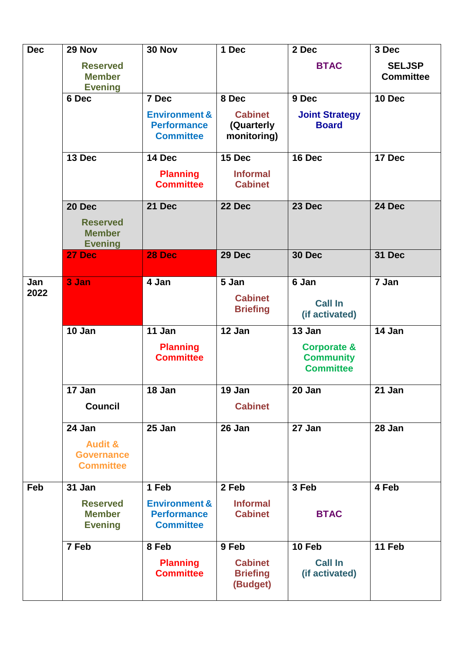| <b>Dec</b>  | 29 Nov                                                                | 30 Nov                                                             | 1 Dec                                         | 2 Dec                                                          | 3 Dec                             |
|-------------|-----------------------------------------------------------------------|--------------------------------------------------------------------|-----------------------------------------------|----------------------------------------------------------------|-----------------------------------|
|             | <b>Reserved</b><br><b>Member</b><br><b>Evening</b>                    |                                                                    |                                               | <b>BTAC</b>                                                    | <b>SELJSP</b><br><b>Committee</b> |
|             | 6 Dec                                                                 | 7 Dec                                                              | 8 Dec                                         | 9 Dec                                                          | 10 Dec                            |
|             |                                                                       | <b>Environment &amp;</b><br><b>Performance</b><br><b>Committee</b> | <b>Cabinet</b><br>(Quarterly<br>monitoring)   | <b>Joint Strategy</b><br><b>Board</b>                          |                                   |
|             | 13 Dec                                                                | 14 Dec                                                             | 15 Dec                                        | 16 Dec                                                         | 17 Dec                            |
|             |                                                                       | <b>Planning</b><br><b>Committee</b>                                | <b>Informal</b><br><b>Cabinet</b>             |                                                                |                                   |
|             | 20 Dec<br><b>Reserved</b><br><b>Member</b><br><b>Evening</b>          | 21 Dec                                                             | 22 Dec                                        | 23 Dec                                                         | 24 Dec                            |
|             | 27 Dec                                                                | 28 Dec                                                             | 29 Dec                                        | 30 Dec                                                         | 31 Dec                            |
| Jan<br>2022 | 3 Jan                                                                 | 4 Jan                                                              | 5 Jan<br><b>Cabinet</b><br><b>Briefing</b>    | 6 Jan<br><b>Call In</b><br>(if activated)                      | 7 Jan                             |
|             | 10 Jan                                                                | 11 Jan                                                             | 12 Jan                                        | 13 Jan                                                         | 14 Jan                            |
|             |                                                                       | <b>Planning</b><br><b>Committee</b>                                |                                               | <b>Corporate &amp;</b><br><b>Community</b><br><b>Committee</b> |                                   |
|             | 17 Jan                                                                | 18 Jan                                                             | 19 Jan                                        | 20 Jan                                                         | 21 Jan                            |
|             | <b>Council</b>                                                        |                                                                    | <b>Cabinet</b>                                |                                                                |                                   |
|             | 24 Jan<br><b>Audit &amp;</b><br><b>Governance</b><br><b>Committee</b> | 25 Jan                                                             | 26 Jan                                        | 27 Jan                                                         | 28 Jan                            |
| Feb         | 31 Jan                                                                | 1 Feb                                                              | 2 Feb                                         | 3 Feb                                                          | 4 Feb                             |
|             | <b>Reserved</b><br><b>Member</b><br><b>Evening</b>                    | <b>Environment &amp;</b><br><b>Performance</b><br><b>Committee</b> | <b>Informal</b><br><b>Cabinet</b>             | <b>BTAC</b>                                                    |                                   |
|             | 7 Feb                                                                 | 8 Feb                                                              | 9 Feb                                         | 10 Feb                                                         | 11 Feb                            |
|             |                                                                       | <b>Planning</b><br><b>Committee</b>                                | <b>Cabinet</b><br><b>Briefing</b><br>(Budget) | <b>Call In</b><br>(if activated)                               |                                   |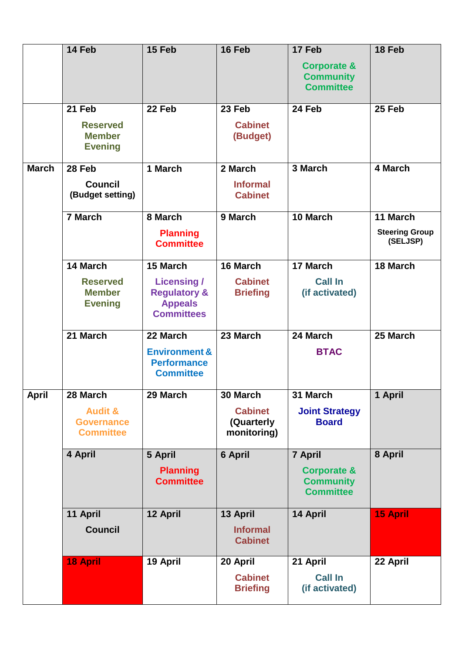|              | 14 Feb                                                                  | 15 Feb                                                                                           | 16 Feb                                                  | 17 Feb<br><b>Corporate &amp;</b><br><b>Community</b><br><b>Committee</b>  | 18 Feb                                        |
|--------------|-------------------------------------------------------------------------|--------------------------------------------------------------------------------------------------|---------------------------------------------------------|---------------------------------------------------------------------------|-----------------------------------------------|
|              | 21 Feb<br><b>Reserved</b>                                               | 22 Feb                                                                                           | 23 Feb<br><b>Cabinet</b>                                | 24 Feb                                                                    | 25 Feb                                        |
|              | <b>Member</b><br><b>Evening</b>                                         |                                                                                                  | (Budget)                                                |                                                                           |                                               |
| <b>March</b> | 28 Feb<br><b>Council</b><br>(Budget setting)                            | 1 March                                                                                          | 2 March<br><b>Informal</b><br><b>Cabinet</b>            | 3 March                                                                   | 4 March                                       |
|              | 7 March                                                                 | 8 March<br><b>Planning</b><br><b>Committee</b>                                                   | 9 March                                                 | 10 March                                                                  | 11 March<br><b>Steering Group</b><br>(SELJSP) |
|              | 14 March<br><b>Reserved</b><br><b>Member</b><br><b>Evening</b>          | 15 March<br><b>Licensing /</b><br><b>Regulatory &amp;</b><br><b>Appeals</b><br><b>Committees</b> | 16 March<br><b>Cabinet</b><br><b>Briefing</b>           | 17 March<br><b>Call In</b><br>(if activated)                              | 18 March                                      |
|              | 21 March                                                                | 22 March<br><b>Environment &amp;</b><br><b>Performance</b><br><b>Committee</b>                   | 23 March                                                | 24 March<br><b>BTAC</b>                                                   | 25 March                                      |
| <b>April</b> | 28 March<br><b>Audit &amp;</b><br><b>Governance</b><br><b>Committee</b> | 29 March                                                                                         | 30 March<br><b>Cabinet</b><br>(Quarterly<br>monitoring) | 31 March<br><b>Joint Strategy</b><br><b>Board</b>                         | 1 April                                       |
|              | 4 April                                                                 | 5 April<br><b>Planning</b><br><b>Committee</b>                                                   | 6 April                                                 | 7 April<br><b>Corporate &amp;</b><br><b>Community</b><br><b>Committee</b> | 8 April                                       |
|              | 11 April<br><b>Council</b>                                              | 12 April                                                                                         | 13 April<br><b>Informal</b><br><b>Cabinet</b>           | 14 April                                                                  | <b>15 April</b>                               |
|              | 18 April                                                                | 19 April                                                                                         | 20 April<br><b>Cabinet</b><br><b>Briefing</b>           | 21 April<br><b>Call In</b><br>(if activated)                              | 22 April                                      |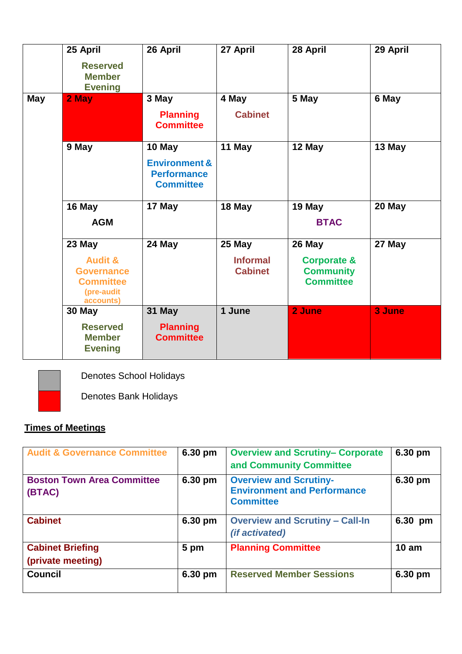|     | 25 April<br><b>Reserved</b><br><b>Member</b><br><b>Evening</b>                                   | 26 April                                                                     | 27 April                                    | 28 April                                                                 | 29 April |
|-----|--------------------------------------------------------------------------------------------------|------------------------------------------------------------------------------|---------------------------------------------|--------------------------------------------------------------------------|----------|
| May | 2 May                                                                                            | 3 May<br><b>Planning</b><br><b>Committee</b>                                 | 4 May<br><b>Cabinet</b>                     | 5 May                                                                    | 6 May    |
|     | 9 May                                                                                            | 10 May<br><b>Environment &amp;</b><br><b>Performance</b><br><b>Committee</b> | 11 May                                      | 12 May                                                                   | 13 May   |
|     | 16 May<br><b>AGM</b>                                                                             | 17 May                                                                       | 18 May                                      | 19 May<br><b>BTAC</b>                                                    | 20 May   |
|     | 23 May<br><b>Audit &amp;</b><br><b>Governance</b><br><b>Committee</b><br>(pre-audit<br>accounts) | 24 May                                                                       | 25 May<br><b>Informal</b><br><b>Cabinet</b> | 26 May<br><b>Corporate &amp;</b><br><b>Community</b><br><b>Committee</b> | 27 May   |
|     | 30 May<br><b>Reserved</b><br><b>Member</b><br><b>Evening</b>                                     | 31 May<br><b>Planning</b><br><b>Committee</b>                                | 1 June                                      | 2 June                                                                   | 3 June   |



Denotes School Holidays

Denotes Bank Holidays

## **Times of Meetings**

| <b>Audit &amp; Governance Committee</b>      | 6.30 pm | <b>Overview and Scrutiny- Corporate</b><br>and Community Committee                      | 6.30 pm |
|----------------------------------------------|---------|-----------------------------------------------------------------------------------------|---------|
| <b>Boston Town Area Committee</b><br>(BTAC)  | 6.30 pm | <b>Overview and Scrutiny-</b><br><b>Environment and Performance</b><br><b>Committee</b> | 6.30 pm |
| <b>Cabinet</b>                               | 6.30 pm | <b>Overview and Scrutiny - Call-In</b><br><i>(if activated)</i>                         | 6.30 pm |
| <b>Cabinet Briefing</b><br>(private meeting) | 5 pm    | <b>Planning Committee</b>                                                               | 10 am   |
| <b>Council</b>                               | 6.30 pm | <b>Reserved Member Sessions</b>                                                         | 6.30 pm |